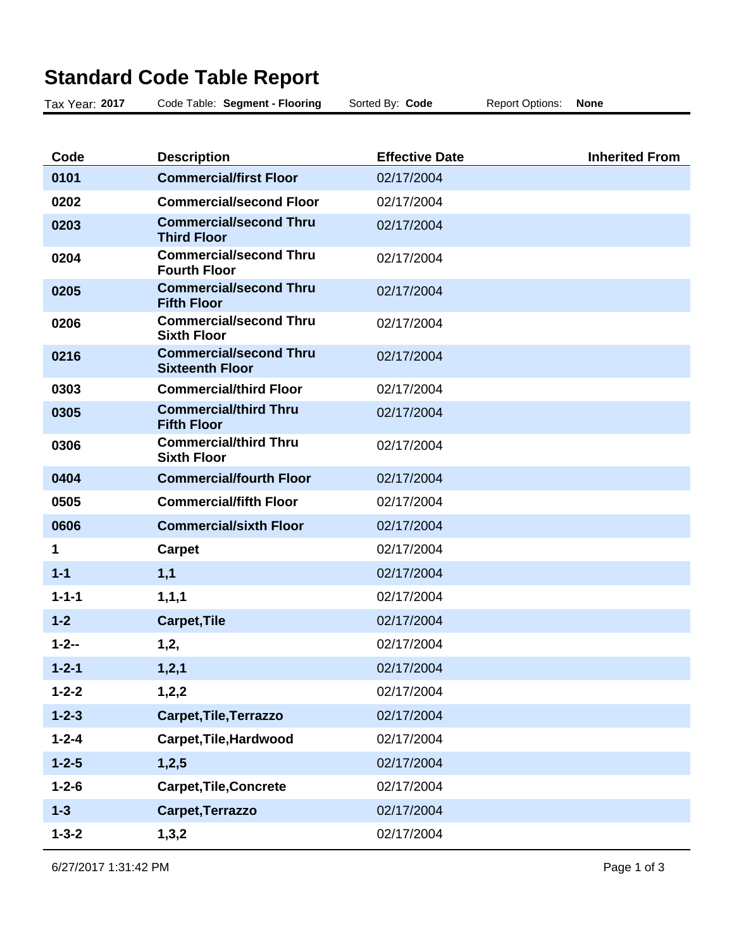| Tax Year: 2017 | Code Table: Segment - Flooring                          | Sorted By: Code       | <b>Report Options:</b> | <b>None</b>           |
|----------------|---------------------------------------------------------|-----------------------|------------------------|-----------------------|
|                |                                                         |                       |                        |                       |
| Code           | <b>Description</b>                                      | <b>Effective Date</b> |                        | <b>Inherited From</b> |
| 0101           | <b>Commercial/first Floor</b>                           | 02/17/2004            |                        |                       |
| 0202           | <b>Commercial/second Floor</b>                          | 02/17/2004            |                        |                       |
| 0203           | <b>Commercial/second Thru</b><br><b>Third Floor</b>     | 02/17/2004            |                        |                       |
| 0204           | <b>Commercial/second Thru</b><br><b>Fourth Floor</b>    | 02/17/2004            |                        |                       |
| 0205           | <b>Commercial/second Thru</b><br><b>Fifth Floor</b>     | 02/17/2004            |                        |                       |
| 0206           | <b>Commercial/second Thru</b><br><b>Sixth Floor</b>     | 02/17/2004            |                        |                       |
| 0216           | <b>Commercial/second Thru</b><br><b>Sixteenth Floor</b> | 02/17/2004            |                        |                       |
| 0303           | <b>Commercial/third Floor</b>                           | 02/17/2004            |                        |                       |
| 0305           | <b>Commercial/third Thru</b><br><b>Fifth Floor</b>      | 02/17/2004            |                        |                       |
| 0306           | <b>Commercial/third Thru</b><br><b>Sixth Floor</b>      | 02/17/2004            |                        |                       |
| 0404           | <b>Commercial/fourth Floor</b>                          | 02/17/2004            |                        |                       |
| 0505           | <b>Commercial/fifth Floor</b>                           | 02/17/2004            |                        |                       |
| 0606           | <b>Commercial/sixth Floor</b>                           | 02/17/2004            |                        |                       |
| 1              | <b>Carpet</b>                                           | 02/17/2004            |                        |                       |
| $1 - 1$        | 1,1                                                     | 02/17/2004            |                        |                       |
| $1 - 1 - 1$    | 1, 1, 1                                                 | 02/17/2004            |                        |                       |
| $1 - 2$        | <b>Carpet, Tile</b>                                     | 02/17/2004            |                        |                       |
| $1 - 2 - -$    | 1,2,                                                    | 02/17/2004            |                        |                       |
| $1 - 2 - 1$    | 1,2,1                                                   | 02/17/2004            |                        |                       |
| $1 - 2 - 2$    | 1,2,2                                                   | 02/17/2004            |                        |                       |
| $1 - 2 - 3$    | Carpet, Tile, Terrazzo                                  | 02/17/2004            |                        |                       |
| $1 - 2 - 4$    | Carpet, Tile, Hardwood                                  | 02/17/2004            |                        |                       |
| $1 - 2 - 5$    | 1,2,5                                                   | 02/17/2004            |                        |                       |
| $1 - 2 - 6$    | <b>Carpet, Tile, Concrete</b>                           | 02/17/2004            |                        |                       |
| $1 - 3$        | Carpet, Terrazzo                                        | 02/17/2004            |                        |                       |
| $1 - 3 - 2$    | 1,3,2                                                   | 02/17/2004            |                        |                       |

## **Standard Code Table Report**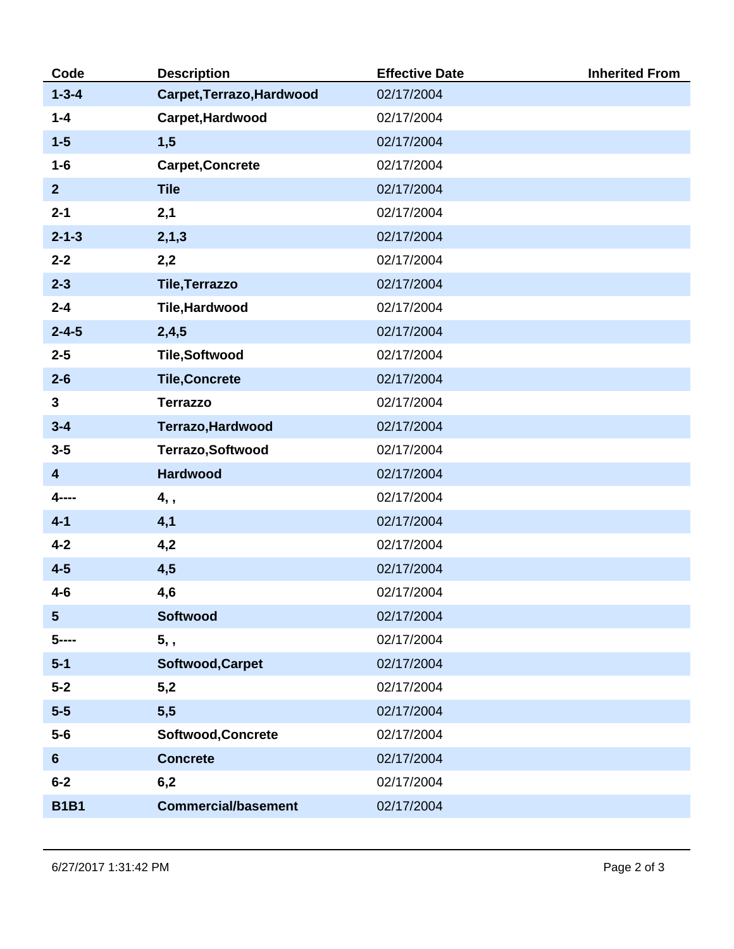| Code                    | <b>Description</b>         | <b>Effective Date</b> | <b>Inherited From</b> |
|-------------------------|----------------------------|-----------------------|-----------------------|
| $1 - 3 - 4$             | Carpet, Terrazo, Hardwood  | 02/17/2004            |                       |
| $1 - 4$                 | Carpet, Hardwood           | 02/17/2004            |                       |
| $1-5$                   | 1,5                        | 02/17/2004            |                       |
| $1-6$                   | <b>Carpet, Concrete</b>    | 02/17/2004            |                       |
| 2 <sup>2</sup>          | <b>Tile</b>                | 02/17/2004            |                       |
| $2 - 1$                 | 2,1                        | 02/17/2004            |                       |
| $2 - 1 - 3$             | 2, 1, 3                    | 02/17/2004            |                       |
| $2 - 2$                 | 2,2                        | 02/17/2004            |                       |
| $2 - 3$                 | <b>Tile, Terrazzo</b>      | 02/17/2004            |                       |
| $2 - 4$                 | Tile, Hardwood             | 02/17/2004            |                       |
| $2 - 4 - 5$             | 2,4,5                      | 02/17/2004            |                       |
| $2 - 5$                 | <b>Tile,Softwood</b>       | 02/17/2004            |                       |
| $2 - 6$                 | <b>Tile, Concrete</b>      | 02/17/2004            |                       |
| 3                       | <b>Terrazzo</b>            | 02/17/2004            |                       |
| $3 - 4$                 | Terrazo, Hardwood          | 02/17/2004            |                       |
| $3 - 5$                 | Terrazo, Softwood          | 02/17/2004            |                       |
| $\overline{\mathbf{4}}$ | <b>Hardwood</b>            | 02/17/2004            |                       |
| 4----                   | 4,,                        | 02/17/2004            |                       |
| $4 - 1$                 | 4,1                        | 02/17/2004            |                       |
| $4 - 2$                 | 4,2                        | 02/17/2004            |                       |
| $4 - 5$                 | 4,5                        | 02/17/2004            |                       |
| $4-6$                   | 4,6                        | 02/17/2004            |                       |
| $5\phantom{1}$          | <b>Softwood</b>            | 02/17/2004            |                       |
| $5$ ----                | 5, ,                       | 02/17/2004            |                       |
| $5 - 1$                 | Softwood, Carpet           | 02/17/2004            |                       |
| $5-2$                   | 5,2                        | 02/17/2004            |                       |
| $5-5$                   | 5,5                        | 02/17/2004            |                       |
| $5-6$                   | Softwood, Concrete         | 02/17/2004            |                       |
| $6\phantom{1}$          | <b>Concrete</b>            | 02/17/2004            |                       |
| $6-2$                   | 6,2                        | 02/17/2004            |                       |
| <b>B1B1</b>             | <b>Commercial/basement</b> | 02/17/2004            |                       |